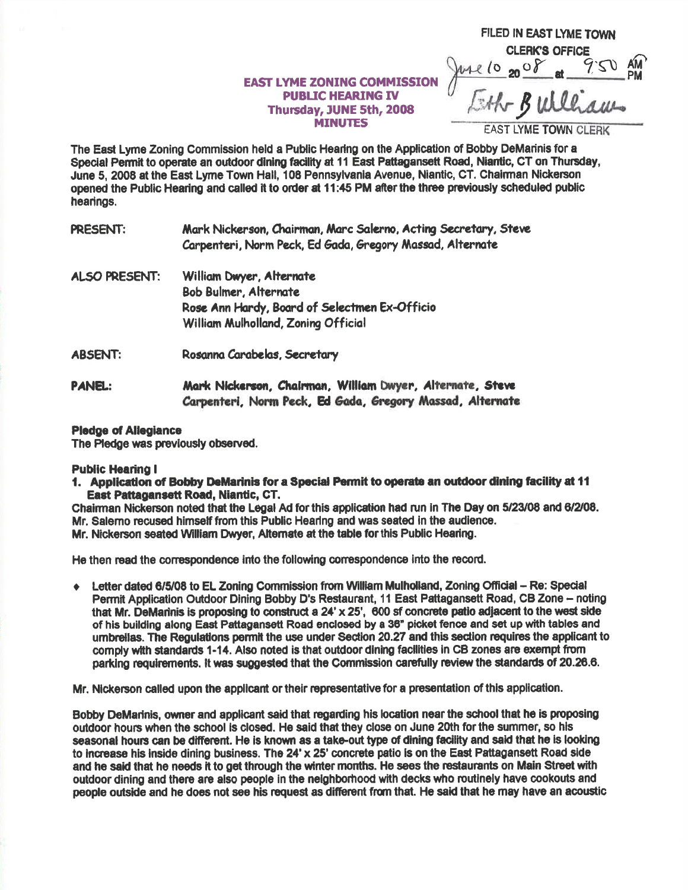## **EAST LYME ZONING COMMISSION PUBLIC HEARING IV** Thursday, JUNE 5th, 2008 **MINUTES**

FILED IN EAST LYME TOWN **CLERK'S OFFICE**  $MCl_{\alpha}$ Eth Bulliams

**EAST LYME TOWN CLERK** 

The East Lyme Zoning Commission held a Public Hearing on the Application of Bobby DeMarinis for a Special Permit to operate an outdoor dining facility at 11 East Pattagansett Road, Niantic, CT on Thursday, June 5, 2008 at the East Lyme Town Hall, 108 Pennsylvania Avenue, Niantic, CT. Chairman Nickerson opened the Public Hearing and called it to order at 11:45 PM after the three previously scheduled public hearings.

| PRESENT: | Mark Nickerson, Chairman, Marc Salerno, Acting Secretary, Steve |
|----------|-----------------------------------------------------------------|
|          | Carpenteri, Norm Peck, Ed Gada, Gregory Massad, Alternate       |
|          |                                                                 |

- ALSO PRESENT: William Dwyer, Alternate Bob Bulmer, Alternate Rose Ann Hardy, Board of Selectmen Ex-Officio William Mulholland, Zonina Official
- **ABSENT:** Rosanna Carabelas, Secretary
- Mark Nickerson, Chairman, William Dwyer, Alternate, Steve **PANEL:** Carpenteri, Norm Peck, Ed Gada, Gregory Massad, Alternate

## **Pledge of Allegiance**

The Pledge was previously observed.

## **Public Hearing I**

1. Application of Bobby DeMarinis for a Special Permit to operate an outdoor dining facility at 11 East Pattagansett Road, Niantic, CT.

Chairman Nickerson noted that the Legal Ad for this application had run in The Day on 5/23/08 and 6/2/08. Mr. Salemo recused himself from this Public Hearing and was seated in the audience. Mr. Nickerson seated William Dwyer. Alternate at the table for this Public Hearing.

He then read the correspondence into the following correspondence into the record.

 $\bullet$  Letter dated 6/5/08 to EL Zoning Commission from William Mulholland, Zoning Official – Re: Special Permit Application Outdoor Dining Bobby D's Restaurant, 11 East Pattagansett Road, CB Zone - noting that Mr. DeMarinis is proposing to construct a 24' x 25', 600 sf concrete patio adjacent to the west side of his building along East Pattagansett Road enclosed by a 36" picket fence and set up with tables and umbrellas. The Regulations permit the use under Section 20.27 and this section requires the applicant to comply with standards 1-14. Also noted is that outdoor dining facilities in CB zones are exempt from parking requirements. It was suggested that the Commission carefully review the standards of 20.26.6.

Mr. Nickerson called upon the applicant or their representative for a presentation of this application.

Bobby DeMarinis, owner and applicant said that regarding his location near the school that he is proposing outdoor hours when the school is closed. He said that they close on June 20th for the summer, so his seasonal hours can be different. He is known as a take-out type of dining facility and said that he is looking to increase his inside dining business. The 24' x 25' concrete patio is on the East Pattagansett Road side and he said that he needs it to get through the winter months. He sees the restaurants on Main Street with outdoor dining and there are also people in the neighborhood with decks who routinely have cookouts and people outside and he does not see his request as different from that. He said that he may have an acoustic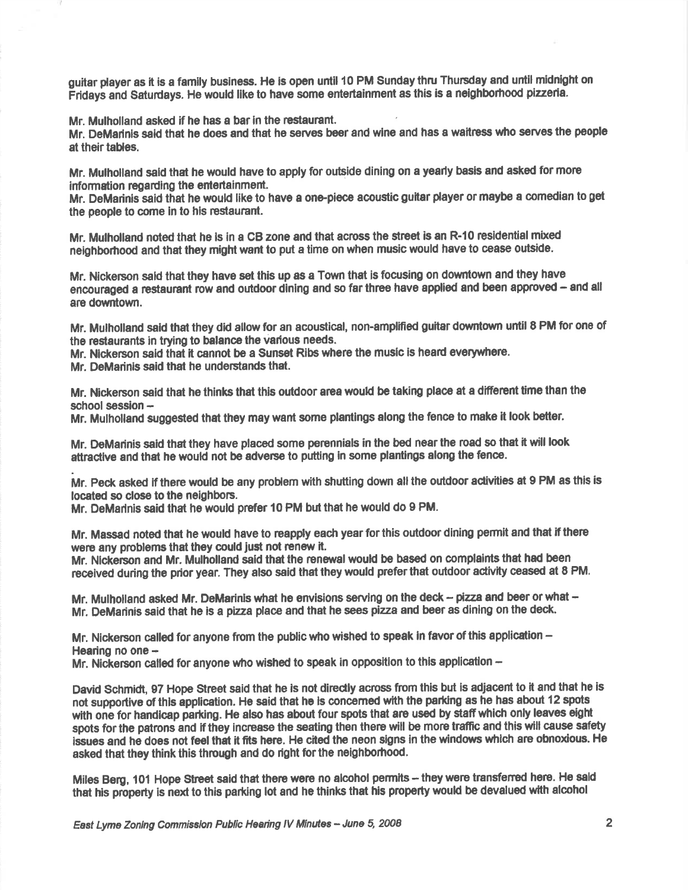guitar player as it is a family business. He is open until 10 PM Sunday thru Thursday and until midnight on Fridays and Saturdays. He would like to have some entertainment as this is a neighborhood pizzeria.

Mr. Mulholland asked if he has a bar in the restaunant.

Mr. DeMarinis said that he does and that he serves beer and wine and has a waitress who serves the people at their tables.

Mr. Mulholland said that he would have to apply for outside dining on a yearly basis and asked for more information regarding the entertainment.

Mr. DeMarinis said that he would like to have a one-piece acoustic guitar player or maybe a comedian to get the people to come in to hls restaurant.

Mr. Mulholland noted that he is in a CB zone and that across the street is an R-10 residential mixed neighborhood and that they might want to put a time on when music would have to cease outside.

Mr. Nickerson said that they have set this up as a Town that is focusing on downtown and they have encouraged a restaurant row and outdoor dining and so far three have applied and been approved - and all are downtown.

Mr. Mulholland said that they did allow for an acoustical, non-amplified guitar downtown until 8 PM for one of the restaurants in trying to balance the various needs.

Mr. Nickerson said that it cannot be a Sunset Ribs where the music is heard everywhere.

Mr. DeMarinis said that he understands that.

Mr. Nickerson said that he thinks that this outdoor area would be taking place at a different time than the school session -

Mr. Mulholland suggested that they maywant some plantings along the fence to make it look better.

Mr. DeMarinis said that they have placed some perennials in the bed near the road so that it will look attractive and that he would not be adverse to putting in some plantings along the fence.

Mr. Peck asked if there would be any problem with shutting down all the outdoor activities at 9 PM as this is located so close to the neighbors.

Mr. DeMarlnis said that he would prefer 10 PM but that he would do 9 PM.

Mr. Massad noted that he would have to reapply each year for this outdoor dining permit and that if there were any problems that they could just not renew it.

Mr. Nickerson and Mr. Mulholland said that the renewal would be based on complaints that had been received during the prior year. They also said that they would prefer that outdoor activity ceased at 8 PM.

Mr. Mulholland asked Mr. DeMarinis what he envisions serving on the deck - pizza and beer or what -Mr. DeMarinis said that he is a pizza place and that he sees pizza and beer as dining on the deck

Mr. Nickerson called for anyone from the public who wished to speak in favor of this application  $-$ Hearing no one -

Mr. Nickerson called for anyone who wished to speak in opposition to this application -

David Schmidt, 97 Hope Street said that he is not directly across from this but is adjacent to it and that he is not supportive of this application. He said that he is concerned with the parking as he has about 12 spots with one for handicap parking. He also has about four spots that are used by staff which only leaves eight spots for the patrons and if they increase the seating then there will be more traffic and this will cause safety issues and he does not feel that it fits here. He cited the neon signs in the windows which are obnoxious. He asked that they think this through and do right for the neighborhood.

Miles Berg, 101 Hope Street said that there were no alcohol permits – they were transferred here. He said that his property is next to this parking lot and he thinks that his property would be devalued with alcohol